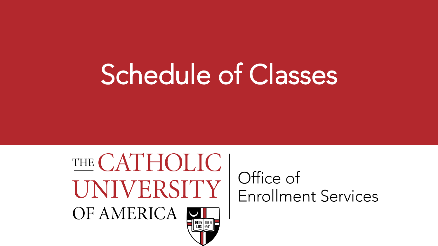# THE CATHOLIC UNIVERSITY OF AMERICA

#### Office of **Enrollment Services**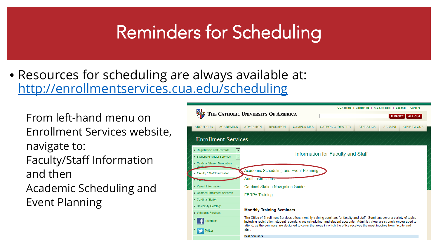• Resources for scheduling are always available at: <http://enrollmentservices.cua.edu/scheduling>

From left-hand menu on Enrollment Services website, navigate to: Faculty/Staff Information and then Academic Scheduling and Event Planning

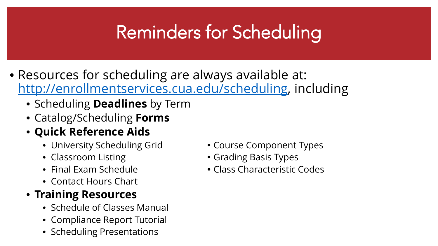- Resources for scheduling are always available at: [http://enrollmentservices.cua.edu/scheduling,](http://enrollmentservices.cua.edu/scheduling) including
	- Scheduling **Deadlines** by Term
	- Catalog/Scheduling **Forms**
	- **Quick Reference Aids**
		- University Scheduling Grid Course Component Types
		-
		-
		- Contact Hours Chart

#### • **Training Resources**

- Schedule of Classes Manual
- Compliance Report Tutorial
- Scheduling Presentations
- 
- Classroom Listing **Classroom Listing Classroom** Listing
- Final Exam Schedule **Class Characteristic Codes**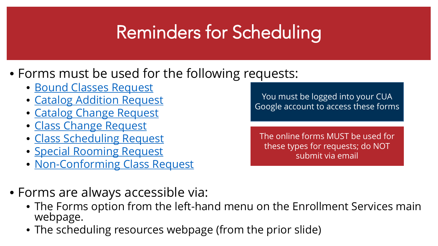#### • Forms must be used for the following requests:

- [Bound Classes Request](https://goo.gl/forms/s7bxnZ78wgeJqIoE2)
- [Catalog Addition Request](https://goo.gl/forms/zWnY0jprSgkZWavm2)
- [Catalog Change Request](https://goo.gl/forms/GvpFlrNfH6EMHmvQ2)
- [Class Change Request](https://docs.google.com/forms/d/e/1FAIpQLSdh91IZO6MZzfCBkCSF4mCJjTpO23wZ5k_876QNUtY6eKkD_w/viewform?usp=sf_link)
- [Class Scheduling Request](https://goo.gl/forms/a5q3SvGD2OXW2Gtu1)
- [Special Rooming Request](https://goo.gl/forms/l1908NFwciNXRTfh1)
- [Non-Conforming Class Request](https://goo.gl/forms/gOfiYX4zgAmRqs1x2)

You must be logged into your CUA Google account to access these forms

The online forms MUST be used for these types for requests; do NOT submit via email

- Forms are always accessible via:
	- The Forms option from the left-hand menu on the Enrollment Services main webpage.
	- The scheduling resources webpage (from the prior slide)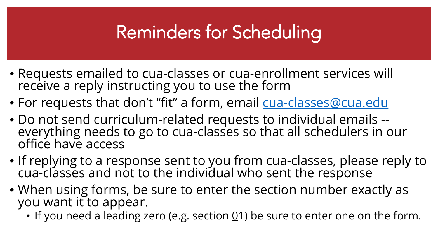- Requests emailed to cua-classes or cua-enrollment services will receive a reply instructing you to use the form
- For requests that don't "fit" a form, email [cua-classes@cua.edu](mailto:cua-classes@cua.edu)
- Do not send curriculum-related requests to individual emails -- everything needs to go to cua-classes so that all schedulers in our office have access
- If replying to a response sent to you from cua-classes, please reply to cua-classes and not to the individual who sent the response
- When using forms, be sure to enter the section number exactly as you want it to appear.
	- If you need a leading zero (e.g. section  $0/1$ ) be sure to enter one on the form.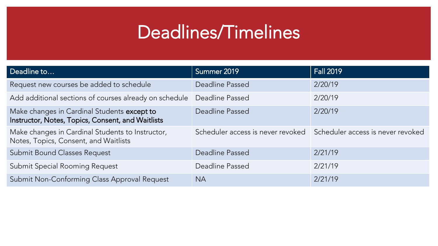### Deadlines/Timelines

| Deadline to                                                                                      | Summer 2019                       | <b>Fall 2019</b>                  |
|--------------------------------------------------------------------------------------------------|-----------------------------------|-----------------------------------|
| Request new courses be added to schedule                                                         | Deadline Passed                   | 2/20/19                           |
| Add additional sections of courses already on schedule                                           | Deadline Passed                   | 2/20/19                           |
| Make changes in Cardinal Students except to<br>Instructor, Notes, Topics, Consent, and Waitlists | Deadline Passed                   | 2/20/19                           |
| Make changes in Cardinal Students to Instructor,<br>Notes, Topics, Consent, and Waitlists        | Scheduler access is never revoked | Scheduler access is never revoked |
| Submit Bound Classes Request                                                                     | Deadline Passed                   | 2/21/19                           |
| Submit Special Rooming Request                                                                   | Deadline Passed                   | 2/21/19                           |
| Submit Non-Conforming Class Approval Request                                                     | <b>NA</b>                         | 2/21/19                           |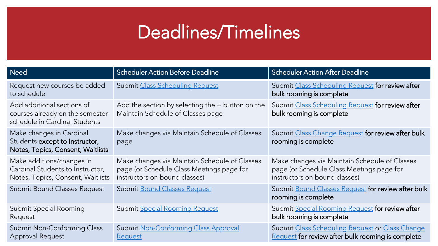### Deadlines/Timelines

| <b>Need</b>                                                                                        | <b>Scheduler Action Before Deadline</b>                                                                                                                                 | <b>Scheduler Action After Deadline</b>                                                                                      |
|----------------------------------------------------------------------------------------------------|-------------------------------------------------------------------------------------------------------------------------------------------------------------------------|-----------------------------------------------------------------------------------------------------------------------------|
| Request new courses be added<br>to schedule                                                        | Submit Class Scheduling Request for review after<br>Submit Class Scheduling Request<br>bulk rooming is complete                                                         |                                                                                                                             |
| Add additional sections of<br>courses already on the semester<br>schedule in Cardinal Students     | Add the section by selecting the $+$ button on the<br>Submit Class Scheduling Request for review after<br>bulk rooming is complete<br>Maintain Schedule of Classes page |                                                                                                                             |
| Make changes in Cardinal<br>Students except to Instructor,<br>Notes, Topics, Consent, Waitlists    | Make changes via Maintain Schedule of Classes<br>page                                                                                                                   | Submit Class Change Request for review after bulk<br>rooming is complete                                                    |
| Make additions/changes in<br>Cardinal Students to Instructor,<br>Notes, Topics, Consent, Waitlists | Make changes via Maintain Schedule of Classes<br>page (or Schedule Class Meetings page for<br>instructors on bound classes)                                             | Make changes via Maintain Schedule of Classes<br>page (or Schedule Class Meetings page for<br>instructors on bound classes) |
| Submit Bound Classes Request                                                                       | <b>Submit Bound Classes Request</b>                                                                                                                                     | Submit Bound Classes Request for review after bulk<br>rooming is complete                                                   |
| Submit Special Rooming<br>Request                                                                  | Submit Special Rooming Request                                                                                                                                          | Submit Special Rooming Request for review after<br>bulk rooming is complete                                                 |
| Submit Non-Conforming Class<br>Approval Request                                                    | Submit Non-Conforming Class Approval<br><b>Request</b>                                                                                                                  | Submit Class Scheduling Request or Class Change<br>Request for review after bulk rooming is complete                        |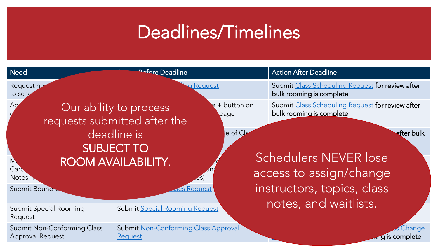### Deadlines/Timelines

| <b>Need</b>                                     | <b>Deadline</b>                                                                                          |             | <b>Action After Deadline</b>                                                                        |
|-------------------------------------------------|----------------------------------------------------------------------------------------------------------|-------------|-----------------------------------------------------------------------------------------------------|
| Request net<br>to sche                          | <b>a</b> Request                                                                                         |             | Submit Class Scheduling Request for review after<br>bulk rooming is complete                        |
| Аç                                              | Our ability to process<br>page<br>requests submitted after the                                           | + button on | Submit Class Scheduling Request for review after<br>bulk rooming is complete                        |
| М<br>Card<br>Notes,<br>Submit Bound             | deadline is<br><b>SUBJECT TO</b><br>ROOM AVAILABILITY.<br>$\overline{\mathcal{L}}$<br><b>Ses Request</b> | le of CL    | after bulk<br><b>Schedulers NEVER lose</b><br>access to assign/change<br>instructors, topics, class |
| <b>Submit Special Rooming</b><br>Request        | Submit Special Rooming Request                                                                           |             | notes, and waitlists.                                                                               |
| Submit Non-Conforming Class<br>Approval Request | Submit Non-Conforming Class Approval<br><b>Request</b>                                                   |             | <u>Change</u><br>$\overline{m}$ g is complete                                                       |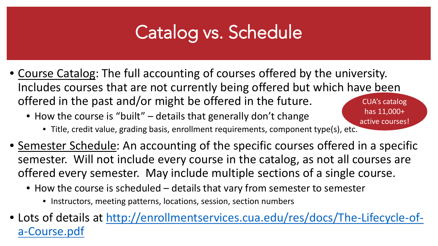### Catalog vs. Schedule

- Course Catalog: The full accounting of courses offered by the university. Includes courses that are not currently being offered but which have been offered in the past and/or might be offered in the future. CUA's catalog has 11,000+
	- How the course is "built" details that generally don't change
		- Title, credit value, grading basis, enrollment requirements, component type(s), etc. active courses!
- Semester Schedule: An accounting of the specific courses offered in a specific semester. Will not include every course in the catalog, as not all courses are offered every semester. May include multiple sections of a single course.
	- How the course is scheduled details that vary from semester to semester
		- Instructors, meeting patterns, locations, session, section numbers
- [Lots of details at http://enrollmentservices.cua.edu/res/docs/The-Lifecycle-of](http://enrollmentservices.cua.edu/res/docs/The-Lifecycle-of-a-Course.pdf)a-Course.pdf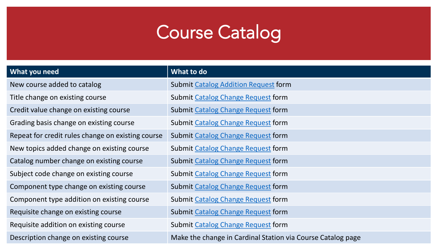### Course Catalog

| What you need                                     | What to do                                                  |
|---------------------------------------------------|-------------------------------------------------------------|
| New course added to catalog                       | <b>Submit Catalog Addition Request form</b>                 |
| Title change on existing course                   | Submit Catalog Change Request form                          |
| Credit value change on existing course            | <b>Submit Catalog Change Request form</b>                   |
| Grading basis change on existing course           | <b>Submit Catalog Change Request form</b>                   |
| Repeat for credit rules change on existing course | Submit Catalog Change Request form                          |
| New topics added change on existing course        | <b>Submit Catalog Change Request form</b>                   |
| Catalog number change on existing course          | <b>Submit Catalog Change Request form</b>                   |
| Subject code change on existing course            | <b>Submit Catalog Change Request form</b>                   |
| Component type change on existing course          | <b>Submit Catalog Change Request form</b>                   |
| Component type addition on existing course        | <b>Submit Catalog Change Request form</b>                   |
| Requisite change on existing course               | <b>Submit Catalog Change Request form</b>                   |
| Requisite addition on existing course             | Submit Catalog Change Request form                          |
| Description change on existing course             | Make the change in Cardinal Station via Course Catalog page |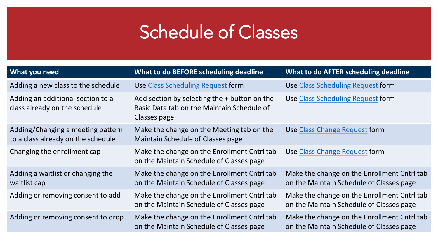| <b>What you need</b>                                                    | What to do BEFORE scheduling deadline                                                                        | What to do AFTER scheduling deadline                                                    |
|-------------------------------------------------------------------------|--------------------------------------------------------------------------------------------------------------|-----------------------------------------------------------------------------------------|
| Adding a new class to the schedule                                      | <b>Use Class Scheduling Request form</b>                                                                     | <b>Use Class Scheduling Request form</b>                                                |
| Adding an additional section to a<br>class already on the schedule      | Add section by selecting the $+$ button on the<br>Basic Data tab on the Maintain Schedule of<br>Classes page | Use Class Scheduling Request form                                                       |
| Adding/Changing a meeting pattern<br>to a class already on the schedule | Make the change on the Meeting tab on the<br><b>Maintain Schedule of Classes page</b>                        | Use Class Change Request form                                                           |
| Changing the enrollment cap                                             | Make the change on the Enrollment Cntrl tab<br>on the Maintain Schedule of Classes page                      | Use Class Change Request form                                                           |
| Adding a waitlist or changing the<br>waitlist cap                       | Make the change on the Enrollment Cntrl tab<br>on the Maintain Schedule of Classes page                      | Make the change on the Enrollment Cntrl tab<br>on the Maintain Schedule of Classes page |
| Adding or removing consent to add                                       | Make the change on the Enrollment Cntrl tab<br>on the Maintain Schedule of Classes page                      | Make the change on the Enrollment Cntrl tab<br>on the Maintain Schedule of Classes page |
| Adding or removing consent to drop                                      | Make the change on the Enrollment Cntrl tab<br>on the Maintain Schedule of Classes page                      | Make the change on the Enrollment Cntrl tab<br>on the Maintain Schedule of Classes page |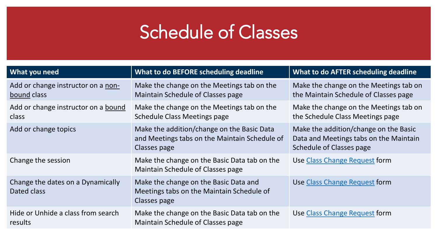| What you need                                     | What to do BEFORE scheduling deadline                                                                       | What to do AFTER scheduling deadline                                                                               |
|---------------------------------------------------|-------------------------------------------------------------------------------------------------------------|--------------------------------------------------------------------------------------------------------------------|
| Add or change instructor on a non-<br>bound class | Make the change on the Meetings tab on the<br><b>Maintain Schedule of Classes page</b>                      | Make the change on the Meetings tab on<br>the Maintain Schedule of Classes page                                    |
| Add or change instructor on a bound<br>class      | Make the change on the Meetings tab on the<br><b>Schedule Class Meetings page</b>                           | Make the change on the Meetings tab on<br>the Schedule Class Meetings page                                         |
| Add or change topics                              | Make the addition/change on the Basic Data<br>and Meetings tabs on the Maintain Schedule of<br>Classes page | Make the addition/change on the Basic<br>Data and Meetings tabs on the Maintain<br><b>Schedule of Classes page</b> |
| Change the session                                | Make the change on the Basic Data tab on the<br>Maintain Schedule of Classes page                           | <b>Use Class Change Request form</b>                                                                               |
| Change the dates on a Dynamically<br>Dated class  | Make the change on the Basic Data and<br>Meetings tabs on the Maintain Schedule of<br>Classes page          | <b>Use Class Change Request form</b>                                                                               |
| Hide or Unhide a class from search<br>results     | Make the change on the Basic Data tab on the<br>Maintain Schedule of Classes page                           | Use Class Change Request form                                                                                      |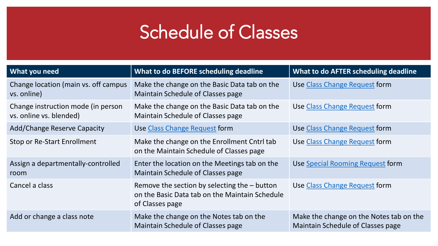| <b>What you need</b>                                          | What to do BEFORE scheduling deadline                                                                               | What to do AFTER scheduling deadline                                         |
|---------------------------------------------------------------|---------------------------------------------------------------------------------------------------------------------|------------------------------------------------------------------------------|
| Change location (main vs. off campus<br>vs. online)           | Make the change on the Basic Data tab on the<br><b>Maintain Schedule of Classes page</b>                            | Use Class Change Request form                                                |
| Change instruction mode (in person<br>vs. online vs. blended) | Make the change on the Basic Data tab on the<br><b>Maintain Schedule of Classes page</b>                            | Use Class Change Request form                                                |
| <b>Add/Change Reserve Capacity</b>                            | Use Class Change Request form                                                                                       | Use Class Change Request form                                                |
| Stop or Re-Start Enrollment                                   | Make the change on the Enrollment Cntrl tab<br>on the Maintain Schedule of Classes page                             | Use Class Change Request form                                                |
| Assign a departmentally-controlled<br>room                    | Enter the location on the Meetings tab on the<br><b>Maintain Schedule of Classes page</b>                           | Use Special Rooming Request form                                             |
| Cancel a class                                                | Remove the section by selecting the $-$ button<br>on the Basic Data tab on the Maintain Schedule<br>of Classes page | Use Class Change Request form                                                |
| Add or change a class note                                    | Make the change on the Notes tab on the<br><b>Maintain Schedule of Classes page</b>                                 | Make the change on the Notes tab on the<br>Maintain Schedule of Classes page |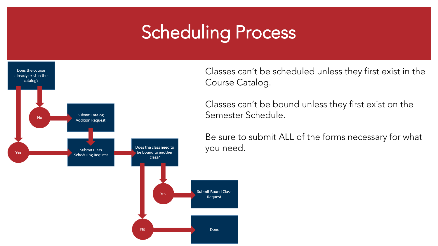### **Scheduling Process**



Classes can't be scheduled unless they first exist in the Course Catalog.

Classes can't be bound unless they first exist on the Semester Schedule.

Be sure to submit ALL of the forms necessary for what you need.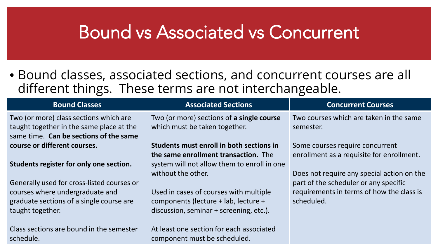#### Bound vs Associated vs Concurrent

• Bound classes, associated sections, and concurrent courses are all different things. These terms are not interchangeable.

| <b>Bound Classes</b>                                                                                                                          | <b>Associated Sections</b>                                                                                                | <b>Concurrent Courses</b>                                                                        |
|-----------------------------------------------------------------------------------------------------------------------------------------------|---------------------------------------------------------------------------------------------------------------------------|--------------------------------------------------------------------------------------------------|
| Two (or more) class sections which are<br>taught together in the same place at the<br>same time. Can be sections of the same                  | Two (or more) sections of a single course<br>which must be taken together.                                                | Two courses which are taken in the same<br>semester.                                             |
| course or different courses.                                                                                                                  | Students must enroll in both sections in                                                                                  | Some courses require concurrent                                                                  |
| Students register for only one section.                                                                                                       | the same enrollment transaction. The<br>system will not allow them to enroll in one<br>without the other.                 | enrollment as a requisite for enrollment.<br>Does not require any special action on the          |
| Generally used for cross-listed courses or<br>courses where undergraduate and<br>graduate sections of a single course are<br>taught together. | Used in cases of courses with multiple<br>components (lecture + lab, lecture +<br>discussion, seminar + screening, etc.). | part of the scheduler or any specific<br>requirements in terms of how the class is<br>scheduled. |
| Class sections are bound in the semester<br>schedule.                                                                                         | At least one section for each associated<br>component must be scheduled.                                                  |                                                                                                  |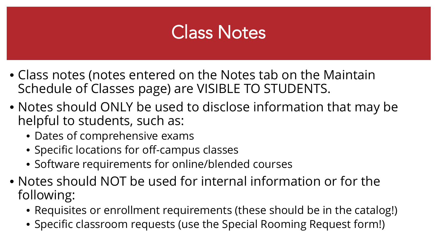### **Class Notes**

- Class notes (notes entered on the Notes tab on the Maintain Schedule of Classes page) are VISIBLE TO STUDENTS.
- Notes should ONLY be used to disclose information that may be helpful to students, such as:
	- Dates of comprehensive exams
	- Specific locations for off-campus classes
	- Software requirements for online/blended courses
- Notes should NOT be used for internal information or for the following:
	- Requisites or enrollment requirements (these should be in the catalog!)
	- Specific classroom requests (use the Special Rooming Request form!)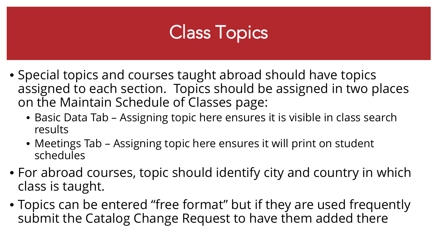### Class Topics

- Special topics and courses taught abroad should have topics assigned to each section. Topics should be assigned in two places on the Maintain Schedule of Classes page:
	- Basic Data Tab Assigning topic here ensures it is visible in class search results
	- Meetings Tab Assigning topic here ensures it will print on student schedules
- For abroad courses, topic should identify city and country in which class is taught.
- Topics can be entered "free format" but if they are used frequently submit the Catalog Change Request to have them added there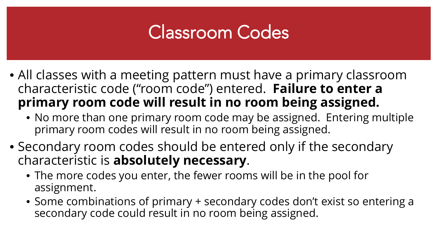### Classroom Codes

- All classes with a meeting pattern must have a primary classroom characteristic code ("room code") entered. **Failure to enter a primary room code will result in no room being assigned.**
	- No more than one primary room code may be assigned. Entering multiple primary room codes will result in no room being assigned.
- Secondary room codes should be entered only if the secondary characteristic is **absolutely necessary**.
	- The more codes you enter, the fewer rooms will be in the pool for assignment.
	- Some combinations of primary + secondary codes don't exist so entering a secondary code could result in no room being assigned.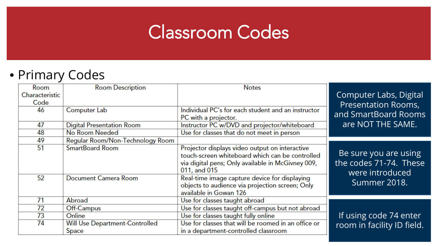### Classroom Codes

#### • Primary Codes

| Room<br>Characteristic<br>Code | <b>Room Description</b>                 | <b>Notes</b>                                                                                                                                                           | Computer Labs, Digital<br><b>Presentation Rooms,</b>               |
|--------------------------------|-----------------------------------------|------------------------------------------------------------------------------------------------------------------------------------------------------------------------|--------------------------------------------------------------------|
| 46                             | Computer Lab                            | Individual PC's for each student and an instructor<br>PC with a projector.                                                                                             | and SmartBoard Rooms                                               |
| 47                             | <b>Digital Presentation Room</b>        | Instructor PC w/DVD and projector/whiteboard                                                                                                                           | are NOT THE SAME.                                                  |
| 48                             | No Room Needed                          | Use for classes that do not meet in person                                                                                                                             |                                                                    |
| 49                             | Regular Room/Non-Technology Room        |                                                                                                                                                                        |                                                                    |
| 51                             | <b>SmartBoard Room</b>                  | Projector displays video output on interactive<br>touch-screen whiteboard which can be controlled<br>via digital pens; Only available in McGivney 009,<br>011, and 015 | Be sure you are using<br>the codes 71-74. These<br>were introduced |
| 52                             | Document Camera Room                    | Real-time image capture device for displaying<br>objects to audience via projection screen; Only<br>available in Gowan 126                                             | Summer 2018.                                                       |
| 71                             | Abroad                                  | Use for classes taught abroad                                                                                                                                          |                                                                    |
| 72                             | Off-Campus                              | Use for classes taught off-campus but not abroad                                                                                                                       |                                                                    |
| 73                             | Online                                  | Use for classes taught fully online                                                                                                                                    | If using code 74 enter                                             |
| 74                             | Will Use Department-Controlled<br>Space | Use for classes that will be roomed in an office or<br>in a department-controlled classroom                                                                            | room in facility ID field.                                         |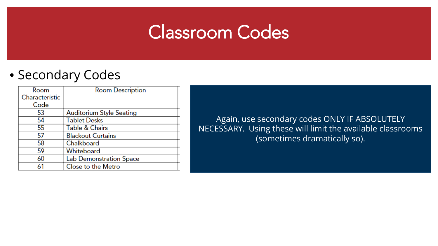### Classroom Codes

#### • Secondary Codes

| Room           | <b>Room Description</b>         |
|----------------|---------------------------------|
| Characteristic |                                 |
| Code           |                                 |
| 53             | <b>Auditorium Style Seating</b> |
| 54             | <b>Tablet Desks</b>             |
| 55             | <b>Table &amp; Chairs</b>       |
| 57             | <b>Blackout Curtains</b>        |
| 58             | Chalkboard                      |
| 59             | Whiteboard                      |
| 60             | Lab Demonstration Space         |
| 61             | Close to the Metro              |

Again, use secondary codes ONLY IF ABSOLUTELY NECESSARY. Using these will limit the available classrooms (sometimes dramatically so).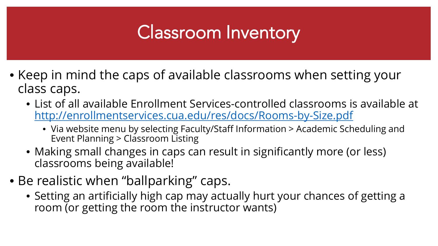### Classroom Inventory

- Keep in mind the caps of available classrooms when setting your class caps.
	- List of all available Enrollment Services-controlled classrooms is available at <http://enrollmentservices.cua.edu/res/docs/Rooms-by-Size.pdf>
		- Via website menu by selecting Faculty/Staff Information > Academic Scheduling and Event Planning > Classroom Listing
	- Making small changes in caps can result in significantly more (or less) classrooms being available!
- Be realistic when "ballparking" caps.
	- Setting an artificially high cap may actually hurt your chances of getting a room (or getting the room the instructor wants)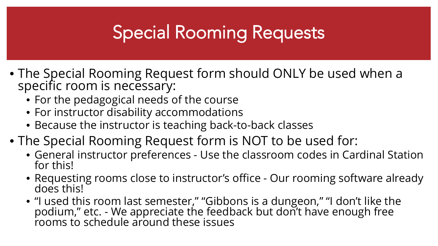### Special Rooming Requests

- The Special Rooming Request form should ONLY be used when a specific room is necessary:
	- For the pedagogical needs of the course
	- For instructor disability accommodations
	- Because the instructor is teaching back-to-back classes
- The Special Rooming Request form is NOT to be used for:
	- General instructor preferences Use the classroom codes in Cardinal Station for this!
	- Requesting rooms close to instructor's office Our rooming software already does this!
	- "I used this room last semester," "Gibbons is a dungeon," "I don't like the podium," etc. - We appreciate the feedback but don't have enough free<br>rooms to schedule around these issues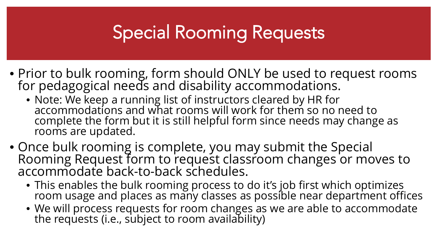### Special Rooming Requests

- Prior to bulk rooming, form should ONLY be used to request rooms for pedagogical needs and disability accommodations.
	- Note: We keep a running list of instructors cleared by HR for accommodations and what rooms will work for them so no need to complete the form but it is still helpful form since needs may change as rooms are updated.
- Once bulk rooming is complete, you may submit the Special Rooming Request form to request classroom changes or moves to accommodate back-to-back schedules.
	- This enables the bulk rooming process to do it's job first which optimizes room usage and places as many classes as possible near department offices
	- We will process requests for room changes as we are able to accommodate the requests (i.e., subject to room availability)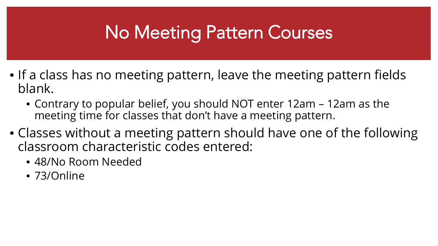### No Meeting Pattern Courses

- If a class has no meeting pattern, leave the meeting pattern fields blank.
	- Contrary to popular belief, you should NOT enter 12am 12am as the meeting time for classes that don't have a meeting pattern.
- Classes without a meeting pattern should have one of the following classroom characteristic codes entered:
	- 48/No Room Needed
	- 73/Online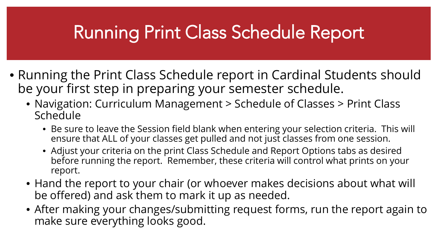### Running Print Class Schedule Report

- Running the Print Class Schedule report in Cardinal Students should be your first step in preparing your semester schedule.
	- Navigation: Curriculum Management > Schedule of Classes > Print Class Schedule
		- Be sure to leave the Session field blank when entering your selection criteria. This will ensure that ALL of your classes get pulled and not just classes from one session.
		- Adjust your criteria on the print Class Schedule and Report Options tabs as desired before running the report. Remember, these criteria will control what prints on your report.
	- Hand the report to your chair (or whoever makes decisions about what will be offered) and ask them to mark it up as needed.
	- After making your changes/submitting request forms, run the report again to make sure everything looks good.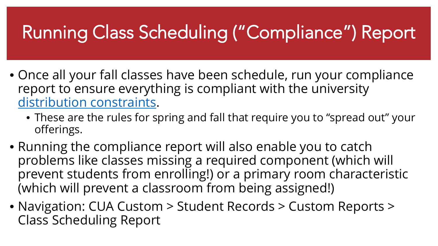## Running Class Scheduling ("Compliance") Report

- Once all your fall classes have been schedule, run your compliance report to ensure everything is compliant with the university [distribution constraints](http://enrollmentservices.cua.edu/scheduling/Schedulingrid.cfm).
	- These are the rules for spring and fall that require you to "spread out" your offerings.
- Running the compliance report will also enable you to catch problems like classes missing a required component (which will prevent students from enrolling!) or a primary room characteristic (which will prevent a classroom from being assigned!)
- Navigation: CUA Custom > Student Records > Custom Reports > Class Scheduling Report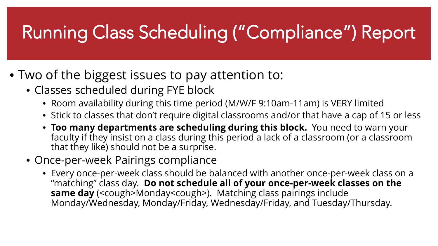# Running Class Scheduling ("Compliance") Report

- Two of the biggest issues to pay attention to:
	- Classes scheduled during FYE block
		- Room availability during this time period (M/W/F 9:10am-11am) is VERY limited
		- Stick to classes that don't require digital classrooms and/or that have a cap of 15 or less
		- **Too many departments are scheduling during this block.** You need to warn your faculty if they insist on a class during this period a lack of a classroom (or a classroom that they like) should not be a surprise.
	- Once-per-week Pairings compliance
		- Every once-per-week class should be balanced with another once-per-week class on a "matching" class day. **Do not schedule all of your once-per-week classes on the same day** (<cough>Monday<cough>). Matching class pairings include Monday/Wednesday, Monday/Friday, Wednesday/Friday, and Tuesday/Thursday.